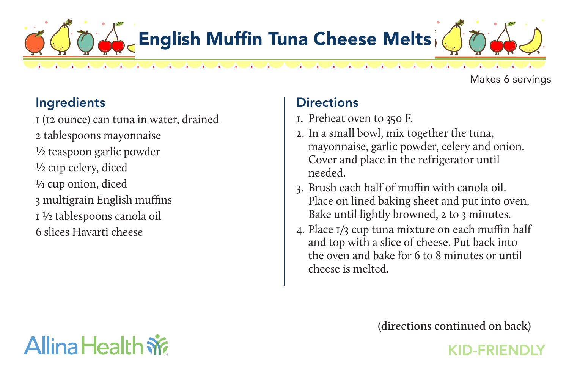

Makes 6 servings

## Ingredients

1 (12 ounce) can tuna in water, drained 2 tablespoons mayonnaise ½ teaspoon garlic powder ½ cup celery, diced ¼ cup onion, diced 3 multigrain English muffins 1 ½ tablespoons canola oil 6 slices Havarti cheese

## **Directions**

- 1. Preheat oven to 350 F.
- 2. In a small bowl, mix together the tuna, mayonnaise, garlic powder, celery and onion. Cover and place in the refrigerator until needed.
- 3. Brush each half of muffin with canola oil. Place on lined baking sheet and put into oven. Bake until lightly browned, 2 to 3 minutes.
- 4. Place 1/3 cup tuna mixture on each muffin half and top with a slice of cheese. Put back into the oven and bake for 6 to 8 minutes or until cheese is melted.

**(directions continued on back)**

## KID-FRIENDLY